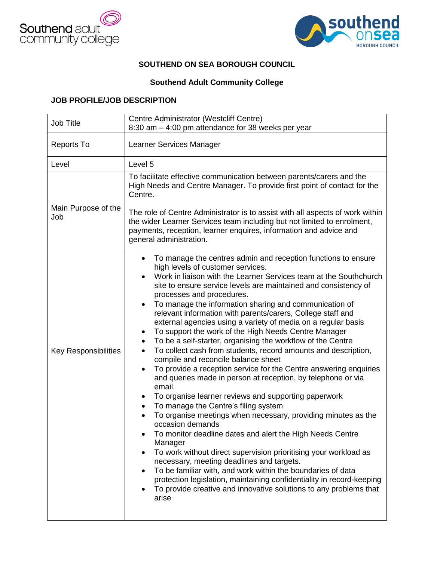



### **SOUTHEND ON SEA BOROUGH COUNCIL**

# **Southend Adult Community College**

### **JOB PROFILE/JOB DESCRIPTION**

| <b>Job Title</b>            | Centre Administrator (Westcliff Centre)<br>8:30 am - 4:00 pm attendance for 38 weeks per year                                                                                                                                                                                                                                                                                                                                                                                                                                                                                                                                                                                                                                                                                                                                                                                                                                                                                                                                                                                                                                                                                                                                                                                                                                                                                                                                                                                                                 |  |  |  |  |
|-----------------------------|---------------------------------------------------------------------------------------------------------------------------------------------------------------------------------------------------------------------------------------------------------------------------------------------------------------------------------------------------------------------------------------------------------------------------------------------------------------------------------------------------------------------------------------------------------------------------------------------------------------------------------------------------------------------------------------------------------------------------------------------------------------------------------------------------------------------------------------------------------------------------------------------------------------------------------------------------------------------------------------------------------------------------------------------------------------------------------------------------------------------------------------------------------------------------------------------------------------------------------------------------------------------------------------------------------------------------------------------------------------------------------------------------------------------------------------------------------------------------------------------------------------|--|--|--|--|
| <b>Reports To</b>           | Learner Services Manager                                                                                                                                                                                                                                                                                                                                                                                                                                                                                                                                                                                                                                                                                                                                                                                                                                                                                                                                                                                                                                                                                                                                                                                                                                                                                                                                                                                                                                                                                      |  |  |  |  |
| Level                       | Level 5                                                                                                                                                                                                                                                                                                                                                                                                                                                                                                                                                                                                                                                                                                                                                                                                                                                                                                                                                                                                                                                                                                                                                                                                                                                                                                                                                                                                                                                                                                       |  |  |  |  |
| Main Purpose of the<br>Job  | To facilitate effective communication between parents/carers and the<br>High Needs and Centre Manager. To provide first point of contact for the<br>Centre.<br>The role of Centre Administrator is to assist with all aspects of work within<br>the wider Learner Services team including but not limited to enrolment,<br>payments, reception, learner enquires, information and advice and<br>general administration.                                                                                                                                                                                                                                                                                                                                                                                                                                                                                                                                                                                                                                                                                                                                                                                                                                                                                                                                                                                                                                                                                       |  |  |  |  |
| <b>Key Responsibilities</b> | To manage the centres admin and reception functions to ensure<br>$\bullet$<br>high levels of customer services.<br>Work in liaison with the Learner Services team at the Southchurch<br>site to ensure service levels are maintained and consistency of<br>processes and procedures.<br>To manage the information sharing and communication of<br>relevant information with parents/carers, College staff and<br>external agencies using a variety of media on a regular basis<br>To support the work of the High Needs Centre Manager<br>To be a self-starter, organising the workflow of the Centre<br>$\bullet$<br>To collect cash from students, record amounts and description,<br>compile and reconcile balance sheet<br>To provide a reception service for the Centre answering enquiries<br>$\bullet$<br>and queries made in person at reception, by telephone or via<br>email.<br>To organise learner reviews and supporting paperwork<br>To manage the Centre's filing system<br>To organise meetings when necessary, providing minutes as the<br>occasion demands<br>To monitor deadline dates and alert the High Needs Centre<br>Manager<br>To work without direct supervision prioritising your workload as<br>٠<br>necessary, meeting deadlines and targets.<br>To be familiar with, and work within the boundaries of data<br>$\bullet$<br>protection legislation, maintaining confidentiality in record-keeping<br>To provide creative and innovative solutions to any problems that<br>arise |  |  |  |  |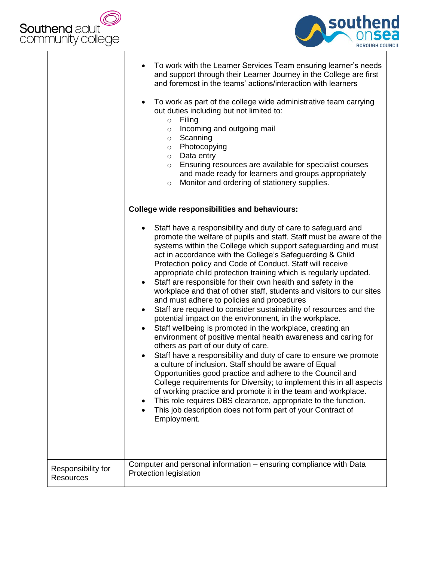

т



|                                        | To work with the Learner Services Team ensuring learner's needs<br>$\bullet$<br>and support through their Learner Journey in the College are first<br>and foremost in the teams' actions/interaction with learners<br>To work as part of the college wide administrative team carrying<br>$\bullet$<br>out duties including but not limited to:<br>Filing<br>$\circ$<br>Incoming and outgoing mail<br>$\circ$<br>Scanning<br>$\circ$<br>Photocopying<br>$\circ$<br>Data entry<br>$\circ$<br>Ensuring resources are available for specialist courses<br>$\circ$<br>and made ready for learners and groups appropriately<br>Monitor and ordering of stationery supplies.<br>$\circ$                                                                                                                                                                                                                                                                                                                                                                                                                                                                                                                                                                                                                                                                                                                                                                        |  |  |  |  |
|----------------------------------------|----------------------------------------------------------------------------------------------------------------------------------------------------------------------------------------------------------------------------------------------------------------------------------------------------------------------------------------------------------------------------------------------------------------------------------------------------------------------------------------------------------------------------------------------------------------------------------------------------------------------------------------------------------------------------------------------------------------------------------------------------------------------------------------------------------------------------------------------------------------------------------------------------------------------------------------------------------------------------------------------------------------------------------------------------------------------------------------------------------------------------------------------------------------------------------------------------------------------------------------------------------------------------------------------------------------------------------------------------------------------------------------------------------------------------------------------------------|--|--|--|--|
|                                        | <b>College wide responsibilities and behaviours:</b>                                                                                                                                                                                                                                                                                                                                                                                                                                                                                                                                                                                                                                                                                                                                                                                                                                                                                                                                                                                                                                                                                                                                                                                                                                                                                                                                                                                                     |  |  |  |  |
|                                        | Staff have a responsibility and duty of care to safeguard and<br>$\bullet$<br>promote the welfare of pupils and staff. Staff must be aware of the<br>systems within the College which support safeguarding and must<br>act in accordance with the College's Safeguarding & Child<br>Protection policy and Code of Conduct. Staff will receive<br>appropriate child protection training which is regularly updated.<br>Staff are responsible for their own health and safety in the<br>$\bullet$<br>workplace and that of other staff, students and visitors to our sites<br>and must adhere to policies and procedures<br>Staff are required to consider sustainability of resources and the<br>$\bullet$<br>potential impact on the environment, in the workplace.<br>Staff wellbeing is promoted in the workplace, creating an<br>$\bullet$<br>environment of positive mental health awareness and caring for<br>others as part of our duty of care.<br>Staff have a responsibility and duty of care to ensure we promote<br>$\bullet$<br>a culture of inclusion. Staff should be aware of Equal<br>Opportunities good practice and adhere to the Council and<br>College requirements for Diversity; to implement this in all aspects<br>of working practice and promote it in the team and workplace.<br>This role requires DBS clearance, appropriate to the function.<br>This job description does not form part of your Contract of<br>Employment. |  |  |  |  |
| Responsibility for<br><b>Resources</b> | Computer and personal information - ensuring compliance with Data<br>Protection legislation                                                                                                                                                                                                                                                                                                                                                                                                                                                                                                                                                                                                                                                                                                                                                                                                                                                                                                                                                                                                                                                                                                                                                                                                                                                                                                                                                              |  |  |  |  |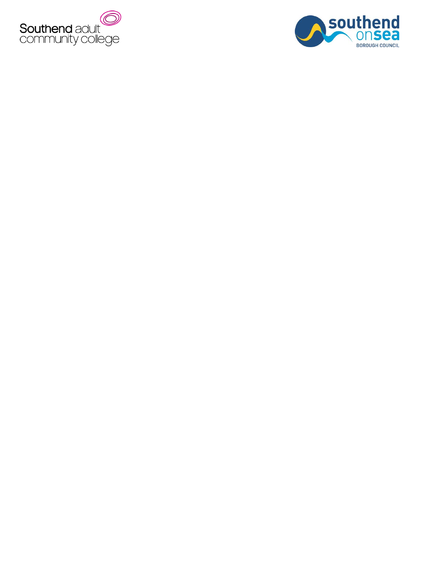

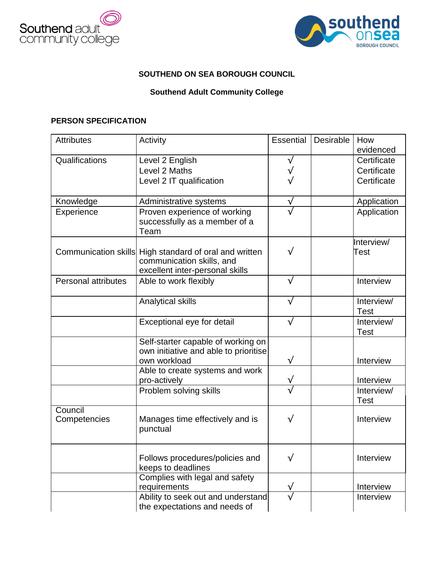



## **SOUTHEND ON SEA BOROUGH COUNCIL**

# **Southend Adult Community College**

#### **PERSON SPECIFICATION**

| <b>Attributes</b>           | Activity                              | <b>Essential</b> | Desirable | How         |
|-----------------------------|---------------------------------------|------------------|-----------|-------------|
|                             |                                       |                  |           | evidenced   |
| Qualifications              | Level 2 English                       |                  |           | Certificate |
|                             | Level 2 Maths                         |                  |           | Certificate |
|                             | Level 2 IT qualification              |                  |           | Certificate |
|                             |                                       |                  |           |             |
| Knowledge                   | Administrative systems                | ν                |           | Application |
| Experience                  | Proven experience of working          |                  |           | Application |
|                             | successfully as a member of a         |                  |           |             |
|                             | Team                                  |                  |           |             |
|                             |                                       |                  |           | Interview/  |
| <b>Communication skills</b> | High standard of oral and written     | √                |           | Test        |
|                             | communication skills, and             |                  |           |             |
|                             | excellent inter-personal skills       |                  |           |             |
| <b>Personal attributes</b>  | Able to work flexibly                 | $\sqrt{}$        |           | Interview   |
|                             |                                       |                  |           |             |
|                             | <b>Analytical skills</b>              | $\sqrt{}$        |           | Interview/  |
|                             |                                       |                  |           | <b>Test</b> |
|                             | Exceptional eye for detail            | $\sqrt{}$        |           | Interview/  |
|                             |                                       |                  |           | <b>Test</b> |
|                             | Self-starter capable of working on    |                  |           |             |
|                             | own initiative and able to prioritise |                  |           |             |
|                             | own workload                          | $\sqrt{}$        |           | Interview   |
|                             | Able to create systems and work       |                  |           |             |
|                             | pro-actively                          |                  |           | Interview   |
|                             | Problem solving skills                |                  |           | Interview/  |
|                             |                                       |                  |           | <b>Test</b> |
| Council                     |                                       |                  |           |             |
| Competencies                | Manages time effectively and is       | $\sqrt{}$        |           | Interview   |
|                             | punctual                              |                  |           |             |
|                             |                                       |                  |           |             |
|                             | Follows procedures/policies and       | $\sqrt{}$        |           | Interview   |
|                             | keeps to deadlines                    |                  |           |             |
|                             | Complies with legal and safety        |                  |           |             |
|                             | requirements                          |                  |           | Interview   |
|                             | Ability to seek out and understand    |                  |           | Interview   |
|                             | the expectations and needs of         |                  |           |             |